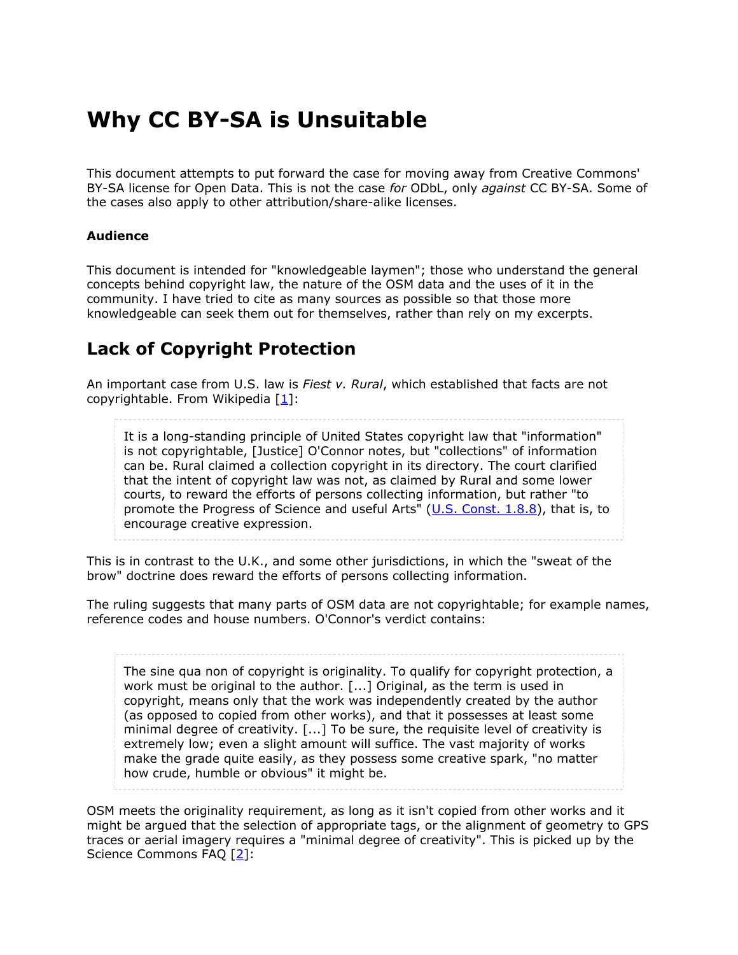# **Why CC BY-SA is Unsuitable**

This document attempts to put forward the case for moving away from Creative Commons' BY-SA license for Open Data. This is not the case *for* ODbL, only *against* CC BY-SA. Some of the cases also apply to other attribution/share-alike licenses.

#### **Audience**

This document is intended for "knowledgeable laymen"; those who understand the general concepts behind copyright law, the nature of the OSM data and the uses of it in the community. I have tried to cite as many sources as possible so that those more knowledgeable can seek them out for themselves, rather than rely on my excerpts.

# **Lack of Copyright Protection**

An important case from U.S. law is *Fiest v. Rural*, which established that facts are not copyrightable. From Wikipedia  $[1]:$  $[1]:$  $[1]:$ 

It is a long-standing principle of United States copyright law that "information" is not copyrightable, [Justice] O'Connor notes, but "collections" of information can be. Rural claimed a collection copyright in its directory. The court clarified that the intent of copyright law was not, as claimed by Rural and some lower courts, to reward the efforts of persons collecting information, but rather "to promote the Progress of Science and useful Arts" [\(U.S. Const. 1.8.8](http://en.wikipedia.org/wiki/Copyright_Clause)), that is, to encourage creative expression.

This is in contrast to the U.K., and some other jurisdictions, in which the "sweat of the brow" doctrine does reward the efforts of persons collecting information.

The ruling suggests that many parts of OSM data are not copyrightable; for example names, reference codes and house numbers. O'Connor's verdict contains:

The sine qua non of copyright is originality. To qualify for copyright protection, a work must be original to the author. [...] Original, as the term is used in copyright, means only that the work was independently created by the author (as opposed to copied from other works), and that it possesses at least some minimal degree of creativity. [...] To be sure, the requisite level of creativity is extremely low; even a slight amount will suffice. The vast majority of works make the grade quite easily, as they possess some creative spark, "no matter how crude, humble or obvious" it might be.

OSM meets the originality requirement, as long as it isn't copied from other works and it might be argued that the selection of appropriate tags, or the alignment of geometry to GPS traces or aerial imagery requires a "minimal degree of creativity". This is picked up by the Science Commons FAQ [[2](#page-3-1)]: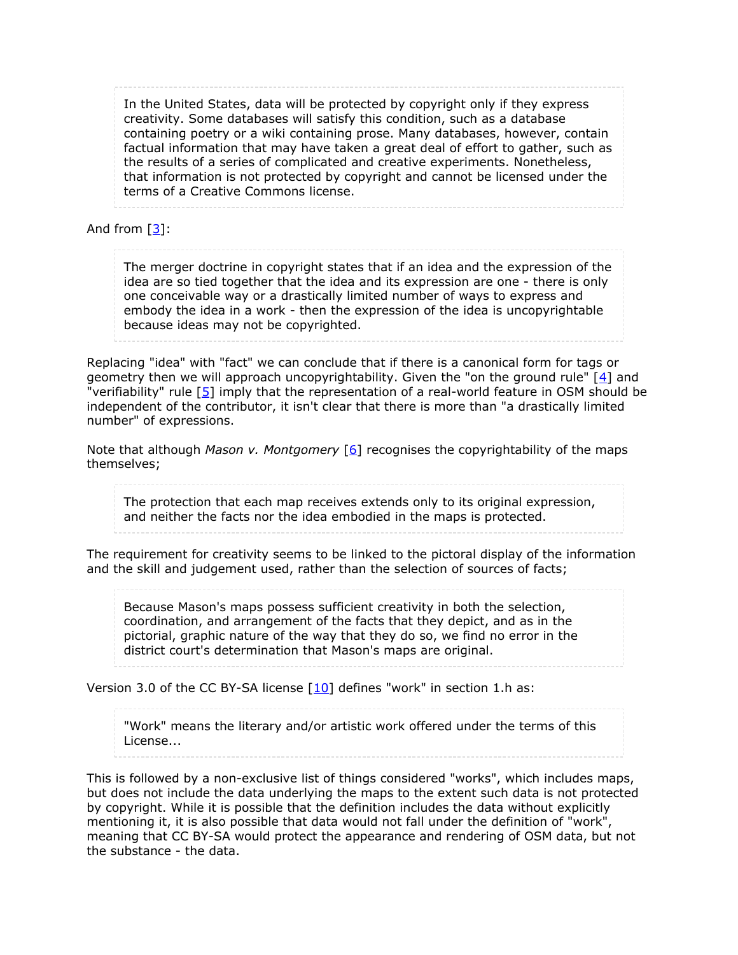In the United States, data will be protected by copyright only if they express creativity. Some databases will satisfy this condition, such as a database containing poetry or a wiki containing prose. Many databases, however, contain factual information that may have taken a great deal of effort to gather, such as the results of a series of complicated and creative experiments. Nonetheless, that information is not protected by copyright and cannot be licensed under the terms of a Creative Commons license.

And from [[3\]](#page-3-2):

The merger doctrine in copyright states that if an idea and the expression of the idea are so tied together that the idea and its expression are one - there is only one conceivable way or a drastically limited number of ways to express and embody the idea in a work - then the expression of the idea is uncopyrightable because ideas may not be copyrighted.

Replacing "idea" with "fact" we can conclude that if there is a canonical form for tags or geometry then we will approach uncopyrightability. Given the "on the ground rule"  $[4]$  $[4]$  and "verifiability" rule [[5\]](#page-3-4) imply that the representation of a real-world feature in OSM should be independent of the contributor, it isn't clear that there is more than "a drastically limited number" of expressions.

Note that although *Mason v. Montgomery* [[6](#page-3-5)] recognises the copyrightability of the maps themselves;

The protection that each map receives extends only to its original expression, and neither the facts nor the idea embodied in the maps is protected.

The requirement for creativity seems to be linked to the pictoral display of the information and the skill and judgement used, rather than the selection of sources of facts;

Because Mason's maps possess sufficient creativity in both the selection, coordination, and arrangement of the facts that they depict, and as in the pictorial, graphic nature of the way that they do so, we find no error in the district court's determination that Mason's maps are original.

Version 3.0 of the CC BY-SA license  $[10]$  $[10]$  defines "work" in section 1.h as:

"Work" means the literary and/or artistic work offered under the terms of this License...

This is followed by a non-exclusive list of things considered "works", which includes maps, but does not include the data underlying the maps to the extent such data is not protected by copyright. While it is possible that the definition includes the data without explicitly mentioning it, it is also possible that data would not fall under the definition of "work", meaning that CC BY-SA would protect the appearance and rendering of OSM data, but not the substance - the data.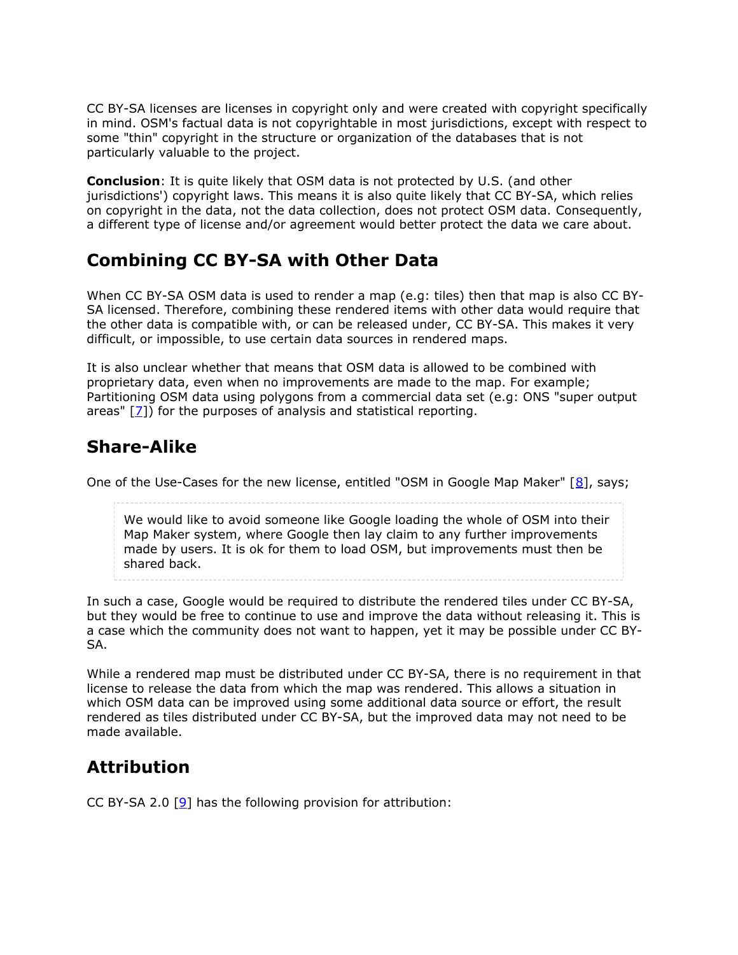CC BY-SA licenses are licenses in copyright only and were created with copyright specifically in mind. OSM's factual data is not copyrightable in most jurisdictions, except with respect to some "thin" copyright in the structure or organization of the databases that is not particularly valuable to the project.

**Conclusion**: It is quite likely that OSM data is not protected by U.S. (and other jurisdictions') copyright laws. This means it is also quite likely that CC BY-SA, which relies on copyright in the data, not the data collection, does not protect OSM data. Consequently, a different type of license and/or agreement would better protect the data we care about.

#### **Combining CC BY-SA with Other Data**

When CC BY-SA OSM data is used to render a map (e.g: tiles) then that map is also CC BY-SA licensed. Therefore, combining these rendered items with other data would require that the other data is compatible with, or can be released under, CC BY-SA. This makes it very difficult, or impossible, to use certain data sources in rendered maps.

It is also unclear whether that means that OSM data is allowed to be combined with proprietary data, even when no improvements are made to the map. For example; Partitioning OSM data using polygons from a commercial data set (e.g: ONS "super output areas"  $[2]$ ) for the purposes of analysis and statistical reporting.

### **Share-Alike**

One of the Use-Cases for the new license, entitled "OSM in Google Map Maker"  $[8]$  $[8]$  $[8]$ , says;

We would like to avoid someone like Google loading the whole of OSM into their Map Maker system, where Google then lay claim to any further improvements made by users. It is ok for them to load OSM, but improvements must then be shared back.

In such a case, Google would be required to distribute the rendered tiles under CC BY-SA, but they would be free to continue to use and improve the data without releasing it. This is a case which the community does not want to happen, yet it may be possible under CC BY-SA.

While a rendered map must be distributed under CC BY-SA, there is no requirement in that license to release the data from which the map was rendered. This allows a situation in which OSM data can be improved using some additional data source or effort, the result rendered as tiles distributed under CC BY-SA, but the improved data may not need to be made available.

# **Attribution**

CC BY-SA 2.0  $[9]$  $[9]$  has the following provision for attribution: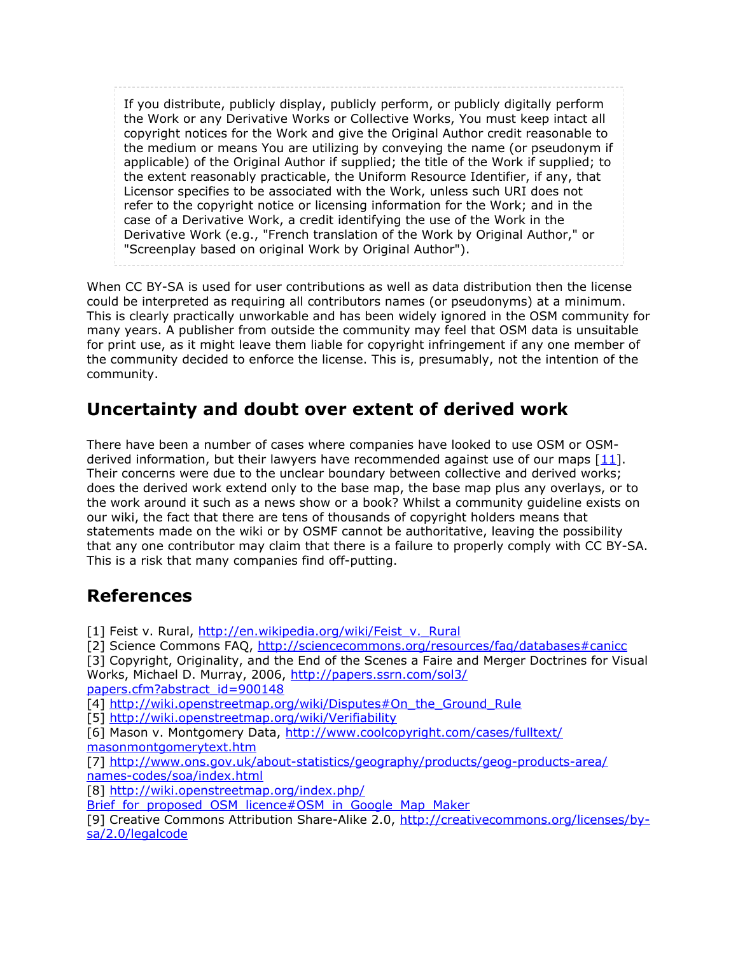If you distribute, publicly display, publicly perform, or publicly digitally perform the Work or any Derivative Works or Collective Works, You must keep intact all copyright notices for the Work and give the Original Author credit reasonable to the medium or means You are utilizing by conveying the name (or pseudonym if applicable) of the Original Author if supplied; the title of the Work if supplied; to the extent reasonably practicable, the Uniform Resource Identifier, if any, that Licensor specifies to be associated with the Work, unless such URI does not refer to the copyright notice or licensing information for the Work; and in the case of a Derivative Work, a credit identifying the use of the Work in the Derivative Work (e.g., "French translation of the Work by Original Author," or "Screenplay based on original Work by Original Author").

When CC BY-SA is used for user contributions as well as data distribution then the license could be interpreted as requiring all contributors names (or pseudonyms) at a minimum. This is clearly practically unworkable and has been widely ignored in the OSM community for many years. A publisher from outside the community may feel that OSM data is unsuitable for print use, as it might leave them liable for copyright infringement if any one member of the community decided to enforce the license. This is, presumably, not the intention of the community.

### **Uncertainty and doubt over extent of derived work**

There have been a number of cases where companies have looked to use OSM or OSMderived information, but their lawyers have recommended against use of our maps  $[11]$  $[11]$  $[11]$ . Their concerns were due to the unclear boundary between collective and derived works; does the derived work extend only to the base map, the base map plus any overlays, or to the work around it such as a news show or a book? Whilst a community guideline exists on our wiki, the fact that there are tens of thousands of copyright holders means that statements made on the wiki or by OSMF cannot be authoritative, leaving the possibility that any one contributor may claim that there is a failure to properly comply with CC BY-SA. This is a risk that many companies find off-putting.

#### **References**

- <span id="page-3-0"></span>[1] Feist v. Rural, [http://en.wikipedia.org/wiki/Feist\\_v.\\_Rural](http://en.wikipedia.org/wiki/Feist_v._Rural)
- <span id="page-3-1"></span>[2] Science Commons FAQ, <http://sciencecommons.org/resources/faq/databases#canicc>
- <span id="page-3-2"></span>[3] Copyright, Originality, and the End of the Scenes a Faire and Merger Doctrines for Visual Works, Michael D. Murray, 2006, [http://papers.ssrn.com/sol3/](http://papers.ssrn.com/sol3/papers.cfm?abstract_id=900148)

[papers.cfm?abstract\\_id=900148](http://papers.ssrn.com/sol3/papers.cfm?abstract_id=900148)

<span id="page-3-3"></span>[4] [http://wiki.openstreetmap.org/wiki/Disputes#On\\_the\\_Ground\\_Rule](http://wiki.openstreetmap.org/wiki/Disputes#On_the_Ground_Rule)

- <span id="page-3-4"></span>[5] <http://wiki.openstreetmap.org/wiki/Verifiability>
- <span id="page-3-5"></span>[6] Mason v. Montgomery Data, [http://www.coolcopyright.com/cases/fulltext/](http://www.coolcopyright.com/cases/fulltext/masonmontgomerytext.htm) [masonmontgomerytext.htm](http://www.coolcopyright.com/cases/fulltext/masonmontgomerytext.htm)

<span id="page-3-6"></span>[7] [http://www.ons.gov.uk/about-statistics/geography/products/geog-products-area/](http://www.ons.gov.uk/about-statistics/geography/products/geog-products-area/names-codes/soa/index.html) [names-codes/soa/index.html](http://www.ons.gov.uk/about-statistics/geography/products/geog-products-area/names-codes/soa/index.html)

<span id="page-3-7"></span>[8] [http://wiki.openstreetmap.org/index.php/](http://wiki.openstreetmap.org/index.php/Brief_for_proposed_OSM_licence#OSM_in_Google_Map_Maker)

Brief for proposed OSM licence#OSM in Google Map Maker

<span id="page-3-8"></span>[9] Creative Commons Attribution Share-Alike 2.0, [http://creativecommons.org/licenses/by](http://creativecommons.org/licenses/by-sa/2.0/legalcode)[sa/2.0/legalcode](http://creativecommons.org/licenses/by-sa/2.0/legalcode)